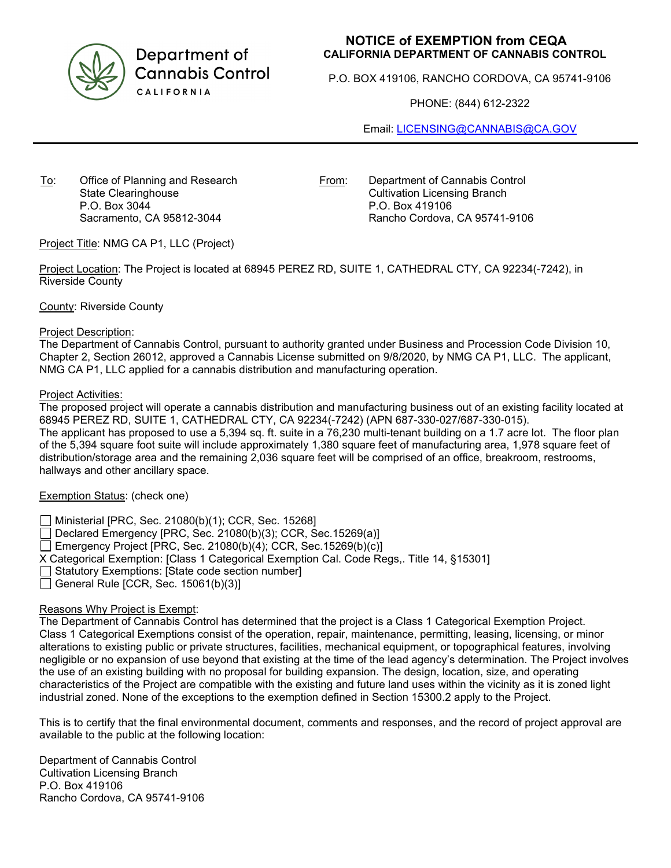

Department of **Cannabis Control** CALIFORNIA

# **NOTICE of EXEMPTION from CEQA CALIFORNIA DEPARTMENT OF CANNABIS CONTROL**

P.O. BOX 419106, RANCHO CORDOVA, CA 95741-9106

PHONE: (844) 612-2322

Email: [LICENSING@CANNABIS@CA.GOV](mailto:LICENSING@CANNABIS@CA.GOV)

To: Office of Planning and Research State Clearinghouse P.O. Box 3044 Sacramento, CA 95812-3044

From: Department of Cannabis Control Cultivation Licensing Branch P.O. Box 419106 Rancho Cordova, CA 95741-9106

Project Title: NMG CA P1, LLC (Project)

Project Location: The Project is located at 68945 PEREZ RD, SUITE 1, CATHEDRAL CTY, CA 92234(-7242), in Riverside County

County: Riverside County

### Project Description:

The Department of Cannabis Control, pursuant to authority granted under Business and Procession Code Division 10, Chapter 2, Section 26012, approved a Cannabis License submitted on 9/8/2020, by NMG CA P1, LLC. The applicant, NMG CA P1, LLC applied for a cannabis distribution and manufacturing operation.

### Project Activities:

The proposed project will operate a cannabis distribution and manufacturing business out of an existing facility located at 68945 PEREZ RD, SUITE 1, CATHEDRAL CTY, CA 92234(-7242) (APN 687-330-027/687-330-015). The applicant has proposed to use a 5,394 sq. ft. suite in a 76,230 multi-tenant building on a 1.7 acre lot. The floor plan of the 5,394 square foot suite will include approximately 1,380 square feet of manufacturing area, 1,978 square feet of distribution/storage area and the remaining 2,036 square feet will be comprised of an office, breakroom, restrooms, hallways and other ancillary space.

# Exemption Status: (check one)

Ministerial [PRC, Sec. 21080(b)(1); CCR, Sec. 15268]

 $\Box$  Declared Emergency [PRC, Sec. 21080(b)(3); CCR, Sec. 15269(a)]

Emergency Project [PRC, Sec. 21080(b)(4); CCR, Sec. 15269(b)(c)]

X Categorical Exemption: [Class 1 Categorical Exemption Cal. Code Regs,. Title 14, §15301]

Statutory Exemptions: [State code section number]

 $\Box$  General Rule [CCR, Sec. 15061(b)(3)]

# Reasons Why Project is Exempt:

The Department of Cannabis Control has determined that the project is a Class 1 Categorical Exemption Project. Class 1 Categorical Exemptions consist of the operation, repair, maintenance, permitting, leasing, licensing, or minor alterations to existing public or private structures, facilities, mechanical equipment, or topographical features, involving negligible or no expansion of use beyond that existing at the time of the lead agency's determination. The Project involves the use of an existing building with no proposal for building expansion. The design, location, size, and operating characteristics of the Project are compatible with the existing and future land uses within the vicinity as it is zoned light industrial zoned. None of the exceptions to the exemption defined in Section 15300.2 apply to the Project.

This is to certify that the final environmental document, comments and responses, and the record of project approval are available to the public at the following location:

Department of Cannabis Control Cultivation Licensing Branch P.O. Box 419106 Rancho Cordova, CA 95741-9106